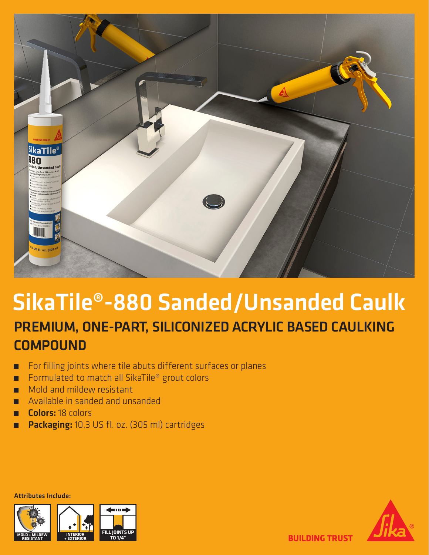

## SikaTile®-880 Sanded/Unsanded Caulk PREMIUM, ONE-PART, SILICONIZED ACRYLIC BASED CAULKING **COMPOUND**

- ̃ For filling joints where tile abuts different surfaces or planes
- ̃ Formulated to match all SikaTile® grout colors
- ̃ Mold and mildew resistant
- ̃ Available in sanded and unsanded
- ̃ Colors: 18 colors
- ̃ Packaging: 10.3 US fl. oz. (305 ml) cartridges

Attributes Include:





**BUILDING TRUST**